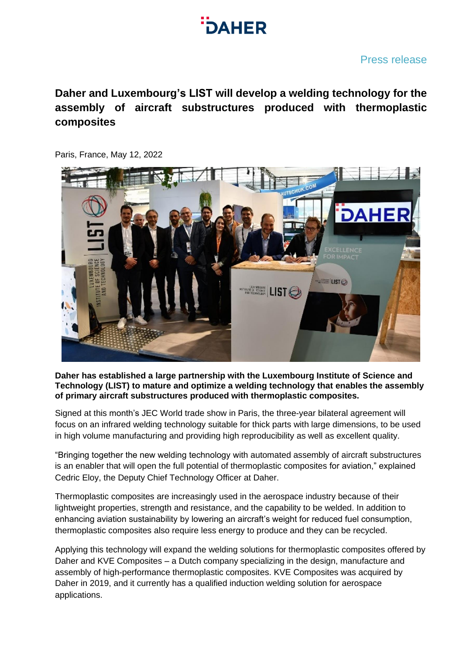

## Press release

# **Daher and Luxembourg's LIST will develop a welding technology for the assembly of aircraft substructures produced with thermoplastic composites**

Paris, France, May 12, 2022



### **Daher has established a large partnership with the Luxembourg Institute of Science and Technology (LIST) to mature and optimize a welding technology that enables the assembly of primary aircraft substructures produced with thermoplastic composites.**

Signed at this month's JEC World trade show in Paris, the three-year bilateral agreement will focus on an infrared welding technology suitable for thick parts with large dimensions, to be used in high volume manufacturing and providing high reproducibility as well as excellent quality.

"Bringing together the new welding technology with automated assembly of aircraft substructures is an enabler that will open the full potential of thermoplastic composites for aviation," explained Cedric Eloy, the Deputy Chief Technology Officer at Daher.

Thermoplastic composites are increasingly used in the aerospace industry because of their lightweight properties, strength and resistance, and the capability to be welded. In addition to enhancing aviation sustainability by lowering an aircraft's weight for reduced fuel consumption, thermoplastic composites also require less energy to produce and they can be recycled.

Applying this technology will expand the welding solutions for thermoplastic composites offered by Daher and KVE Composites – a Dutch company specializing in the design, manufacture and assembly of high-performance thermoplastic composites. KVE Composites was acquired by Daher in 2019, and it currently has a qualified induction welding solution for aerospace applications.